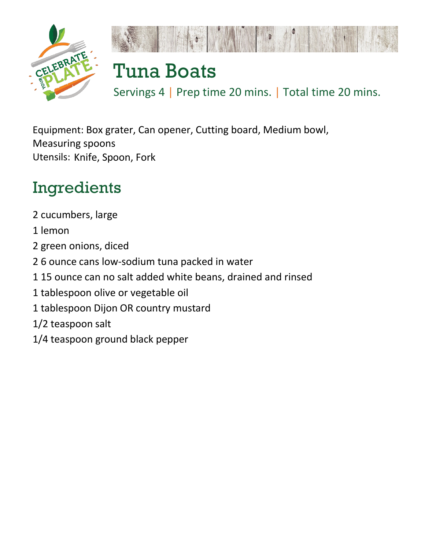



## Tuna Boats

Servings 4 | Prep time 20 mins. | Total time 20 mins.

Equipment: Box grater, Can opener, Cutting board, Medium bowl, Measuring spoons Utensils: Knife, Spoon, Fork

## Ingredients

2 cucumbers, large 1 lemon 2 green onions, diced 2 6 ounce cans low-sodium tuna packed in water 1 15 ounce can no salt added white beans, drained and rinsed 1 tablespoon olive or vegetable oil 1 tablespoon Dijon OR country mustard 1/2 teaspoon salt 1/4 teaspoon ground black pepper